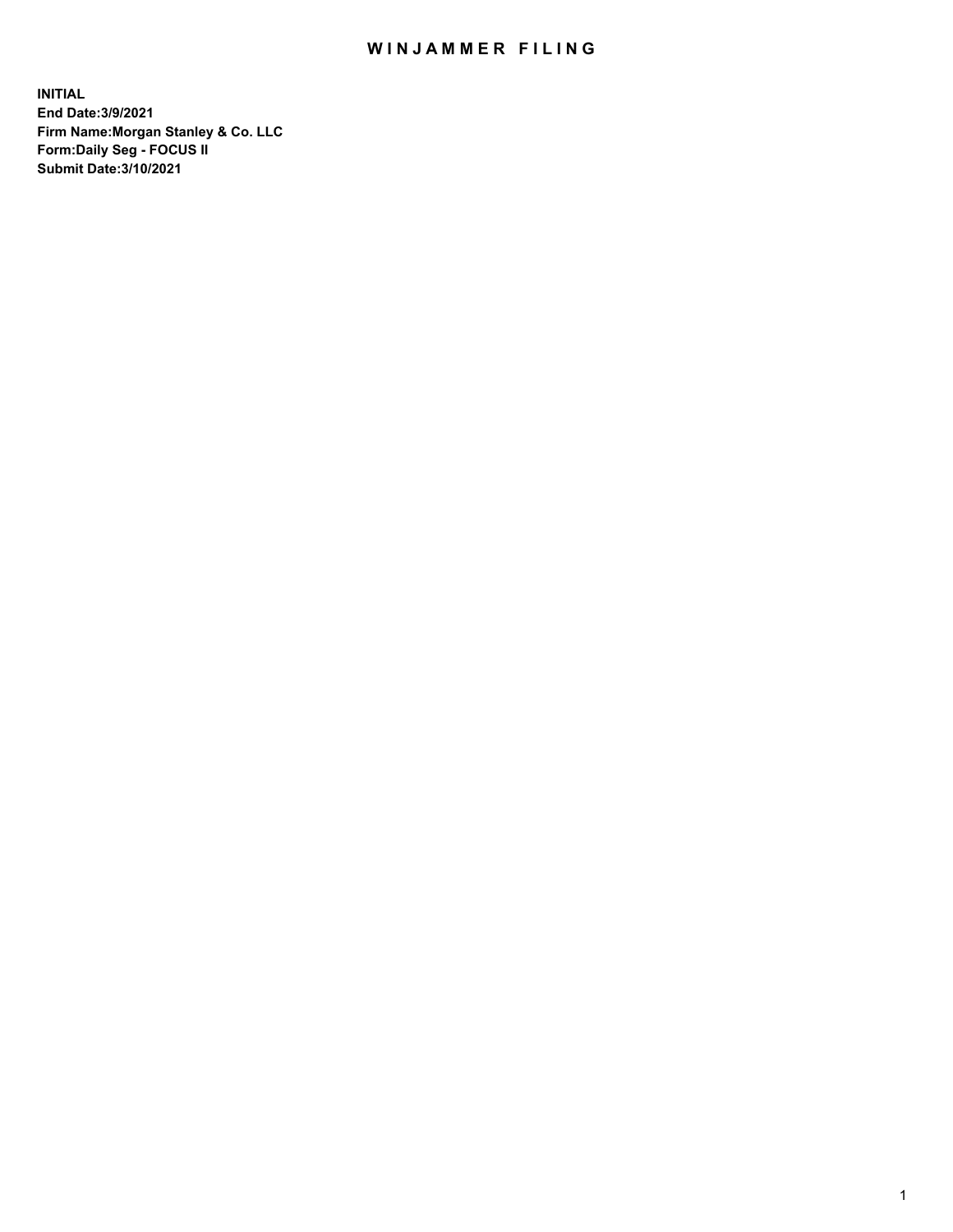## WIN JAMMER FILING

**INITIAL End Date:3/9/2021 Firm Name:Morgan Stanley & Co. LLC Form:Daily Seg - FOCUS II Submit Date:3/10/2021**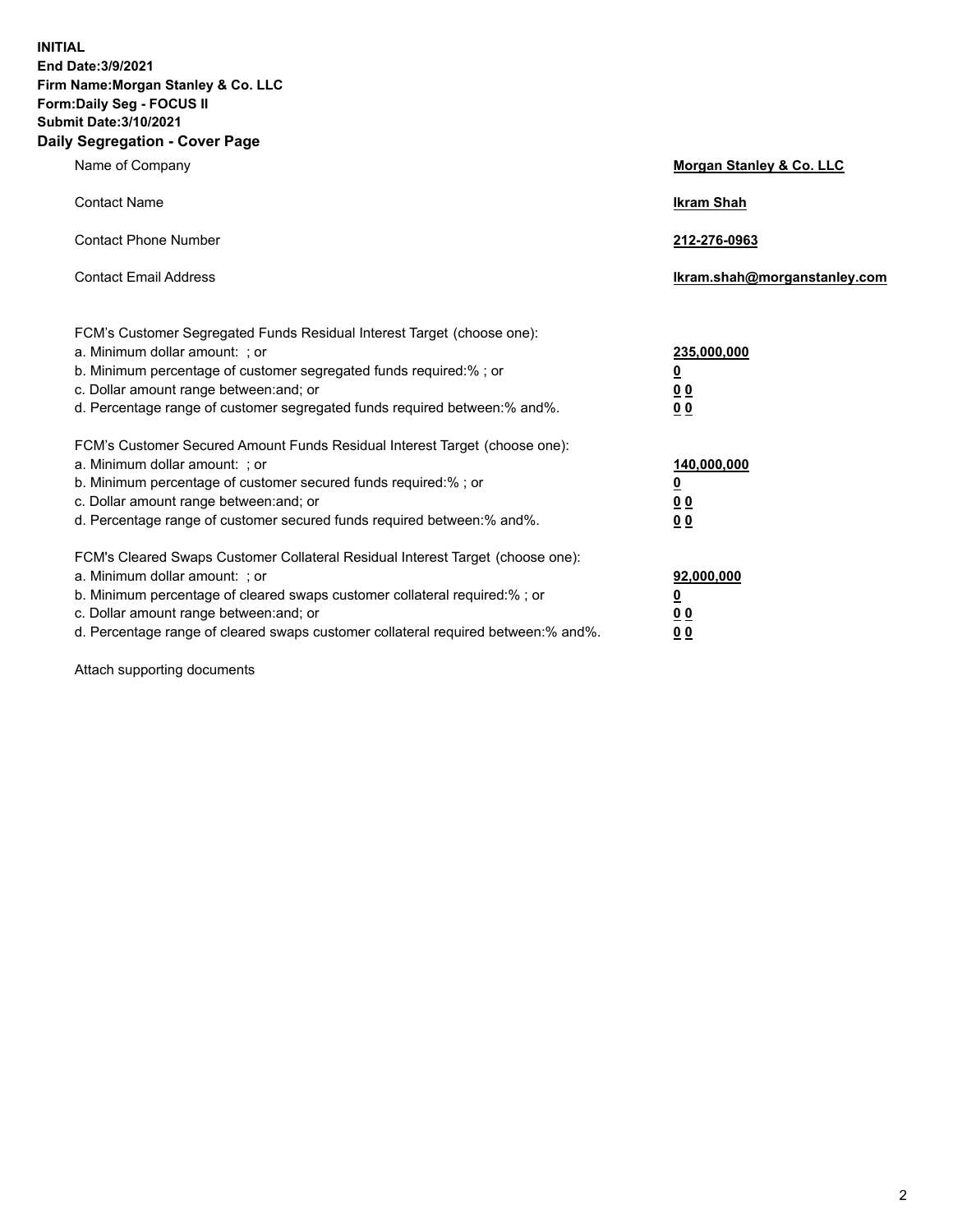**INITIAL End Date:3/9/2021 Firm Name:Morgan Stanley & Co. LLC Form:Daily Seg - FOCUS II Submit Date:3/10/2021 Daily Segregation - Cover Page**

| Name of Company                                                                                                                                                                                                                                                                                                                | Morgan Stanley & Co. LLC                               |
|--------------------------------------------------------------------------------------------------------------------------------------------------------------------------------------------------------------------------------------------------------------------------------------------------------------------------------|--------------------------------------------------------|
| <b>Contact Name</b>                                                                                                                                                                                                                                                                                                            | <b>Ikram Shah</b>                                      |
| <b>Contact Phone Number</b>                                                                                                                                                                                                                                                                                                    | 212-276-0963                                           |
| <b>Contact Email Address</b>                                                                                                                                                                                                                                                                                                   | Ikram.shah@morganstanley.com                           |
| FCM's Customer Segregated Funds Residual Interest Target (choose one):<br>a. Minimum dollar amount: : or<br>b. Minimum percentage of customer segregated funds required:% ; or<br>c. Dollar amount range between: and; or<br>d. Percentage range of customer segregated funds required between:% and%.                         | 235,000,000<br><u>0</u><br>0 <sup>0</sup><br><u>00</u> |
| FCM's Customer Secured Amount Funds Residual Interest Target (choose one):<br>a. Minimum dollar amount: ; or<br>b. Minimum percentage of customer secured funds required:%; or<br>c. Dollar amount range between: and; or<br>d. Percentage range of customer secured funds required between:% and%.                            | 140,000,000<br><u>0</u><br><u>00</u><br>0 <sub>0</sub> |
| FCM's Cleared Swaps Customer Collateral Residual Interest Target (choose one):<br>a. Minimum dollar amount: ; or<br>b. Minimum percentage of cleared swaps customer collateral required:% ; or<br>c. Dollar amount range between: and; or<br>d. Percentage range of cleared swaps customer collateral required between:% and%. | 92,000,000<br><u>0</u><br><u>00</u><br>0 <sub>0</sub>  |

Attach supporting documents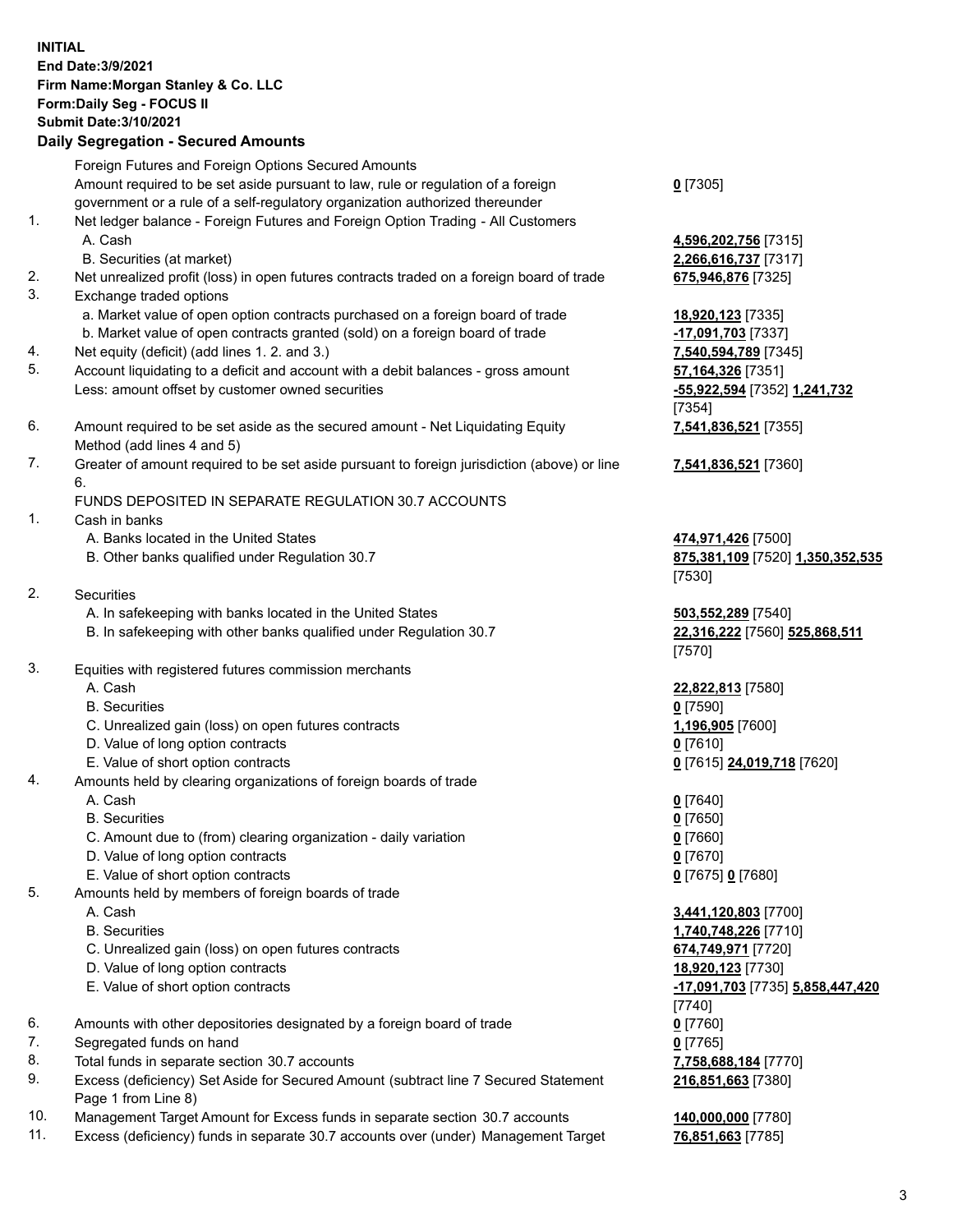## **INITIAL End Date:3/9/2021 Firm Name:Morgan Stanley & Co. LLC Form:Daily Seg - FOCUS II Submit Date:3/10/2021 Daily Segregation - Secured Amounts**

Foreign Futures and Foreign Options Secured Amounts Amount required to be set aside pursuant to law, rule or regulation of a foreign government or a rule of a self-regulatory organization authorized thereunder

- 1. Net ledger balance Foreign Futures and Foreign Option Trading All Customers A. Cash **4,596,202,756** [7315]
	- B. Securities (at market) **2,266,616,737** [7317]
- 2. Net unrealized profit (loss) in open futures contracts traded on a foreign board of trade **675,946,876** [7325]
- 3. Exchange traded options
	- a. Market value of open option contracts purchased on a foreign board of trade **18,920,123** [7335]
	- b. Market value of open contracts granted (sold) on a foreign board of trade **-17,091,703** [7337]
- 4. Net equity (deficit) (add lines 1. 2. and 3.) **7,540,594,789** [7345]
- 5. Account liquidating to a deficit and account with a debit balances gross amount **57,164,326** [7351] Less: amount offset by customer owned securities **-55,922,594** [7352] **1,241,732**
- 6. Amount required to be set aside as the secured amount Net Liquidating Equity Method (add lines 4 and 5)
- 7. Greater of amount required to be set aside pursuant to foreign jurisdiction (above) or line 6.

## FUNDS DEPOSITED IN SEPARATE REGULATION 30.7 ACCOUNTS

- 1. Cash in banks
	- A. Banks located in the United States **474,971,426** [7500]
	- B. Other banks qualified under Regulation 30.7 **875,381,109** [7520] **1,350,352,535**
- 2. Securities
	- A. In safekeeping with banks located in the United States **503,552,289** [7540]
	- B. In safekeeping with other banks qualified under Regulation 30.7 **22,316,222** [7560] **525,868,511**
- 3. Equities with registered futures commission merchants
	-
	- B. Securities **0** [7590]
	- C. Unrealized gain (loss) on open futures contracts **1,196,905** [7600]
	- D. Value of long option contracts **0** [7610]
	- E. Value of short option contracts **0** [7615] **24,019,718** [7620]
- 4. Amounts held by clearing organizations of foreign boards of trade
	- A. Cash **0** [7640]
	- B. Securities **0** [7650]
	- C. Amount due to (from) clearing organization daily variation **0** [7660]
	- D. Value of long option contracts **0** [7670]
	- E. Value of short option contracts **0** [7675] **0** [7680]
- 5. Amounts held by members of foreign boards of trade
	-
	-
	- C. Unrealized gain (loss) on open futures contracts **674,749,971** [7720]
	- D. Value of long option contracts **18,920,123** [7730]
	-
- 6. Amounts with other depositories designated by a foreign board of trade **0** [7760]
- 7. Segregated funds on hand **0** [7765]
- 8. Total funds in separate section 30.7 accounts **7,758,688,184** [7770]
- 9. Excess (deficiency) Set Aside for Secured Amount (subtract line 7 Secured Statement Page 1 from Line 8)
- 10. Management Target Amount for Excess funds in separate section 30.7 accounts **140,000,000** [7780]
- 11. Excess (deficiency) funds in separate 30.7 accounts over (under) Management Target **76,851,663** [7785]

**0** [7305]

[7354] **7,541,836,521** [7355]

**7,541,836,521** [7360]

[7530]

[7570]

A. Cash **22,822,813** [7580]

 A. Cash **3,441,120,803** [7700] B. Securities **1,740,748,226** [7710] E. Value of short option contracts **-17,091,703** [7735] **5,858,447,420** [7740] **216,851,663** [7380]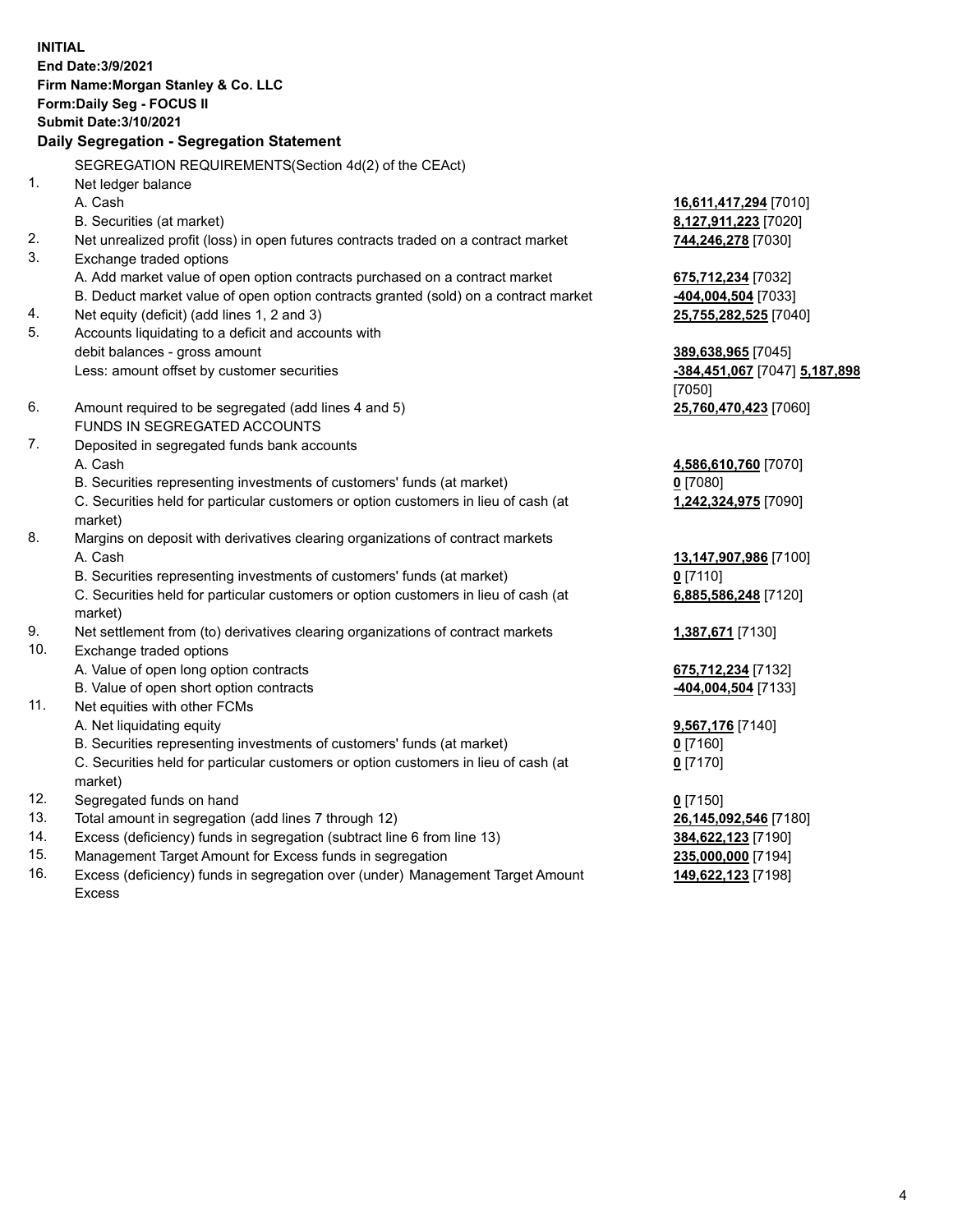**INITIAL End Date:3/9/2021 Firm Name:Morgan Stanley & Co. LLC Form:Daily Seg - FOCUS II Submit Date:3/10/2021 Daily Segregation - Segregation Statement** SEGREGATION REQUIREMENTS(Section 4d(2) of the CEAct) 1. Net ledger balance A. Cash **16,611,417,294** [7010] B. Securities (at market) **8,127,911,223** [7020] 2. Net unrealized profit (loss) in open futures contracts traded on a contract market **744,246,278** [7030] 3. Exchange traded options A. Add market value of open option contracts purchased on a contract market **675,712,234** [7032] B. Deduct market value of open option contracts granted (sold) on a contract market **-404,004,504** [7033] 4. Net equity (deficit) (add lines 1, 2 and 3) **25,755,282,525** [7040] 5. Accounts liquidating to a deficit and accounts with debit balances - gross amount **389,638,965** [7045] Less: amount offset by customer securities **-384,451,067** [7047] **5,187,898** [7050] 6. Amount required to be segregated (add lines 4 and 5) **25,760,470,423** [7060] FUNDS IN SEGREGATED ACCOUNTS 7. Deposited in segregated funds bank accounts A. Cash **4,586,610,760** [7070] B. Securities representing investments of customers' funds (at market) **0** [7080] C. Securities held for particular customers or option customers in lieu of cash (at market) **1,242,324,975** [7090] 8. Margins on deposit with derivatives clearing organizations of contract markets A. Cash **13,147,907,986** [7100] B. Securities representing investments of customers' funds (at market) **0** [7110] C. Securities held for particular customers or option customers in lieu of cash (at market) **6,885,586,248** [7120] 9. Net settlement from (to) derivatives clearing organizations of contract markets **1,387,671** [7130] 10. Exchange traded options A. Value of open long option contracts **675,712,234** [7132] B. Value of open short option contracts **-404,004,504** [7133] 11. Net equities with other FCMs A. Net liquidating equity **9,567,176** [7140] B. Securities representing investments of customers' funds (at market) **0** [7160] C. Securities held for particular customers or option customers in lieu of cash (at market) **0** [7170] 12. Segregated funds on hand **0** [7150] 13. Total amount in segregation (add lines 7 through 12) **26,145,092,546** [7180] 14. Excess (deficiency) funds in segregation (subtract line 6 from line 13) **384,622,123** [7190] 15. Management Target Amount for Excess funds in segregation **235,000,000** [7194]

16. Excess (deficiency) funds in segregation over (under) Management Target Amount Excess

**149,622,123** [7198]